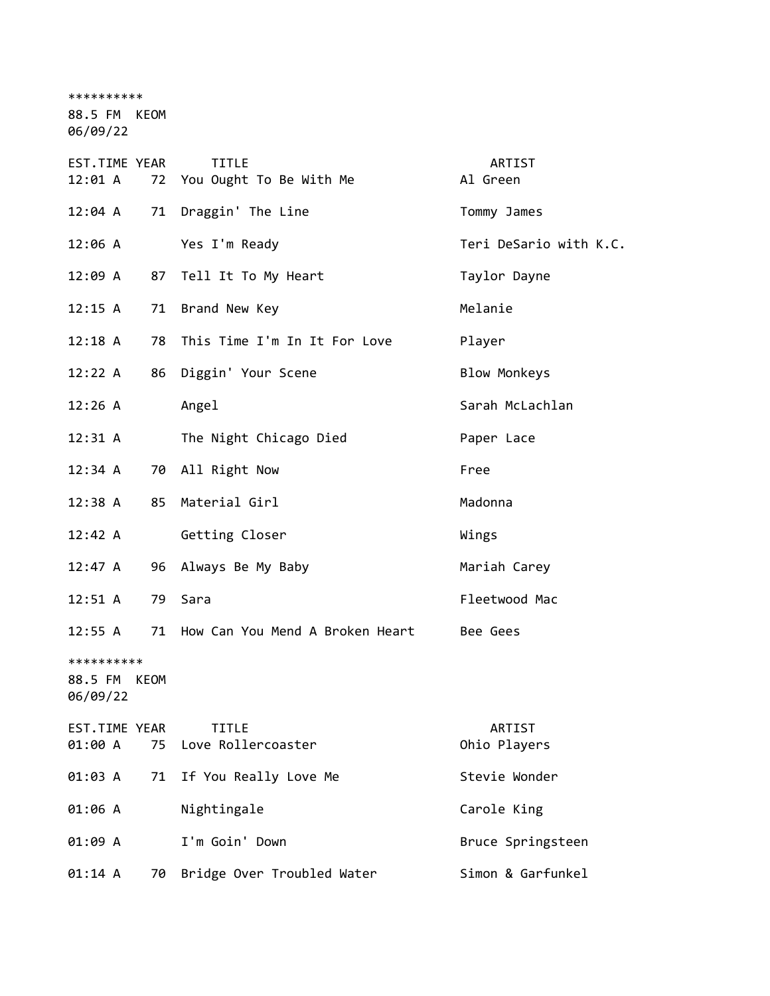\*\*\*\*\*\*\*\*\*\*

88.5 FM KEOM

06/09/22

| EST.TIME YEAR<br>12:01 A |    | <b>TITLE</b><br>72 You Ought To Be With Me | ARTIST<br>Al Green     |
|--------------------------|----|--------------------------------------------|------------------------|
| $12:04$ A                | 71 | Draggin' The Line                          | Tommy James            |
| 12:06 A                  |    | Yes I'm Ready                              | Teri DeSario with K.C. |
| 12:09 A                  |    | 87 Tell It To My Heart                     | Taylor Dayne           |
| 12:15 A                  |    | 71 Brand New Key                           | Melanie                |
| $12:18$ A                | 78 | This Time I'm In It For Love               | Player                 |
| 12:22 A                  | 86 | Diggin' Your Scene                         | <b>Blow Monkeys</b>    |
| 12:26 A                  |    | Angel                                      | Sarah McLachlan        |
| $12:31 \; A$             |    | The Night Chicago Died                     | Paper Lace             |
| 12:34 A                  |    | 70 All Right Now                           | Free                   |
| 12:38 A                  |    | 85 Material Girl                           | Madonna                |
| 12:42 A                  |    | Getting Closer                             | Wings                  |
| 12:47 A                  | 96 | Always Be My Baby                          | Mariah Carey           |
| $12:51 \; A$             |    | 79 Sara                                    | Fleetwood Mac          |
| 12:55 A                  | 71 | How Can You Mend A Broken Heart            | Bee Gees               |
| **********               |    |                                            |                        |
| 88.5 FM KEOM<br>06/09/22 |    |                                            |                        |
| EST.TIME YEAR            |    | <b>TITLE</b>                               | ARTIST                 |
| 01:00 A                  | 75 | Love Rollercoaster                         | Ohio Players           |
| 01:03 A                  | 71 | If You Really Love Me                      | Stevie Wonder          |
| 01:06 A                  |    | Nightingale                                | Carole King            |
| 01:09 A                  |    | I'm Goin' Down                             | Bruce Springsteen      |
| 01:14 A                  | 70 | Bridge Over Troubled Water                 | Simon & Garfunkel      |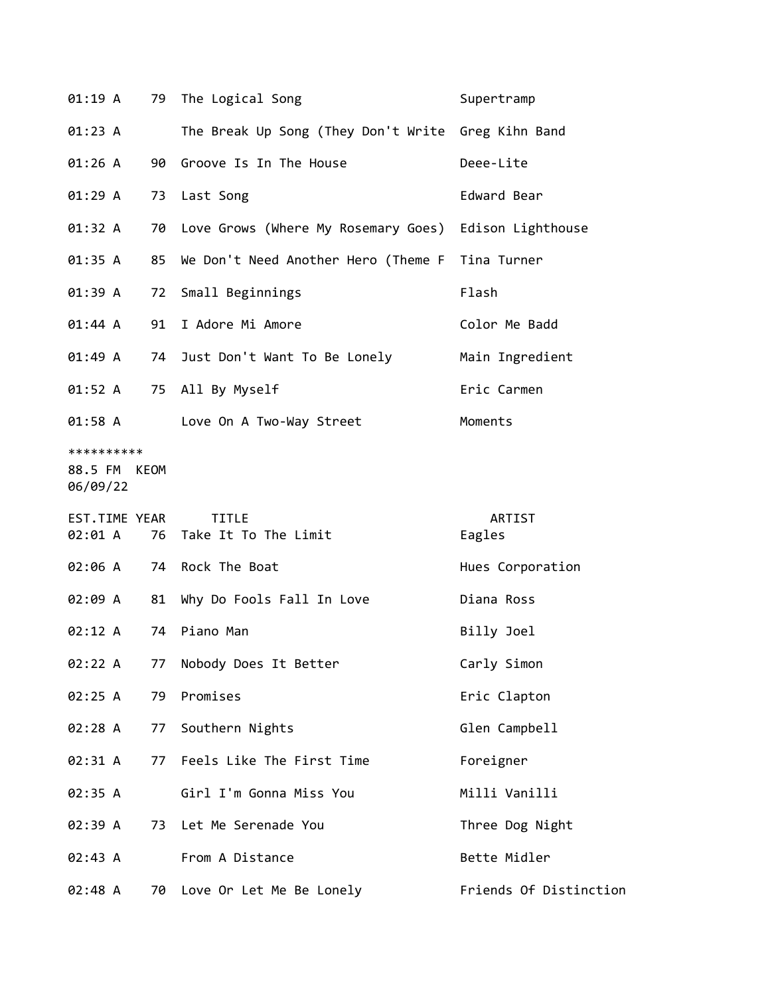| 01:19 A                                |    | 79 The Logical Song                                | Supertramp        |
|----------------------------------------|----|----------------------------------------------------|-------------------|
| 01:23 A                                |    | The Break Up Song (They Don't Write Greg Kihn Band |                   |
| 01:26 A                                |    | 90 Groove Is In The House                          | Deee-Lite         |
| 01:29A                                 |    | 73 Last Song                                       | Edward Bear       |
| 01:32 A                                |    | 70 Love Grows (Where My Rosemary Goes)             | Edison Lighthouse |
| 01:35 A                                | 85 | We Don't Need Another Hero (Theme F                | Tina Turner       |
| 01:39 A                                |    | 72 Small Beginnings                                | Flash             |
| $01:44 \; A$                           | 91 | I Adore Mi Amore                                   | Color Me Badd     |
| 01:49 A                                |    | 74 Just Don't Want To Be Lonely                    | Main Ingredient   |
| 01:52 A                                |    | 75 All By Myself                                   | Eric Carmen       |
| 01:58 A                                |    | Love On A Two-Way Street                           | Moments           |
| **********<br>88.5 FM KEOM<br>06/09/22 |    |                                                    |                   |
|                                        |    |                                                    |                   |
| EST.TIME YEAR<br>02:01 A               |    | <b>TITLE</b><br>76 Take It To The Limit            | ARTIST<br>Eagles  |
| 02:06 A                                |    | 74 Rock The Boat                                   | Hues Corporation  |
| 02:09 A                                |    | 81 Why Do Fools Fall In Love                       | Diana Ross        |
| 02:12 A                                |    | 74 Piano Man                                       | Billy Joel        |
| 02:22 A                                | 77 | Nobody Does It Better                              | Carly Simon       |
| 02:25 A                                | 79 | Promises                                           | Eric Clapton      |
| 02:28 A                                | 77 | Southern Nights                                    | Glen Campbell     |
| 02:31 A                                | 77 | Feels Like The First Time                          | Foreigner         |
| 02:35 A                                |    | Girl I'm Gonna Miss You                            | Milli Vanilli     |
| 02:39 A                                | 73 | Let Me Serenade You                                | Three Dog Night   |
| 02:43 A                                |    | From A Distance                                    | Bette Midler      |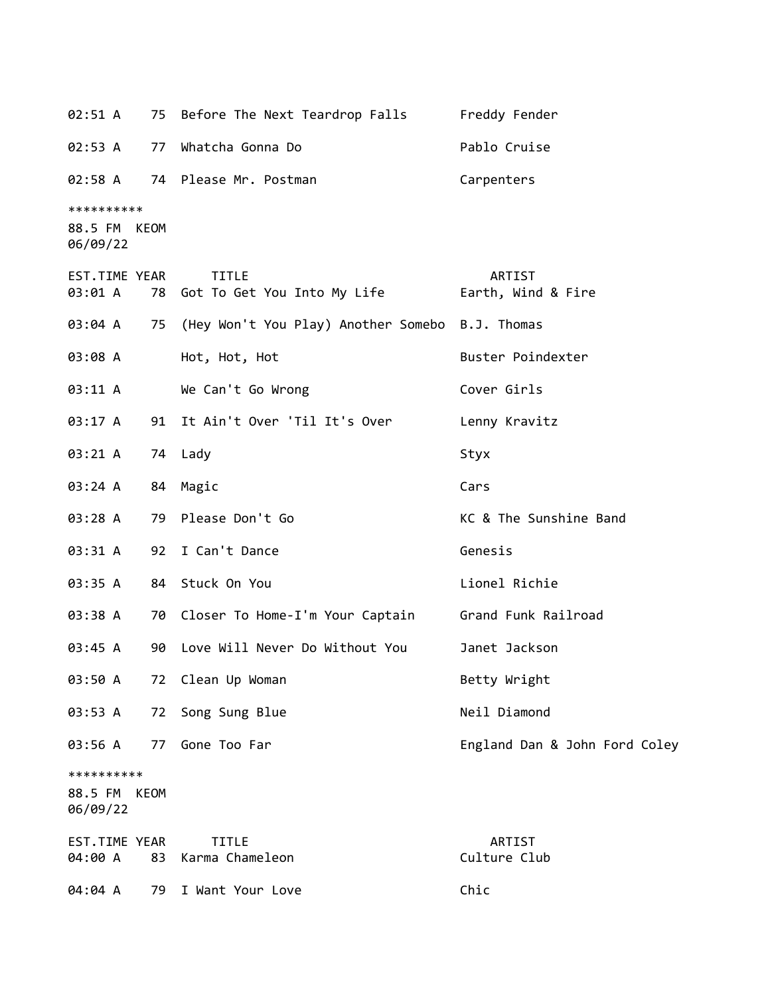02:51 A 75 Before The Next Teardrop Falls Freddy Fender 02:53 A 77 Whatcha Gonna Do Pablo Cruise 02:58 A 74 Please Mr. Postman Carpenters \*\*\*\*\*\*\*\*\*\* 88.5 FM KEOM 06/09/22 EST.TIME YEAR TITLE ARTIST 03:01 A 78 Got To Get You Into My Life Farth, Wind & Fire 03:04 A 75 (Hey Won't You Play) Another Somebo B.J. Thomas 03:08 A Hot, Hot, Hot Buster Poindexter 03:11 A We Can't Go Wrong Cover Girls 03:17 A 91 It Ain't Over 'Til It's Over Lenny Kravitz 03:21 A 74 Lady Styx 03:24 A 84 Magic Cars 03:28 A 79 Please Don't Go **KC & The Sunshine Band** 03:31 A 92 I Can't Dance Genesis 03:35 A 84 Stuck On You Lionel Richie 03:38 A 70 Closer To Home-I'm Your Captain Grand Funk Railroad 03:45 A 90 Love Will Never Do Without You Janet Jackson 03:50 A 72 Clean Up Woman Betty Wright 03:53 A 72 Song Sung Blue Neil Diamond 03:56 A 77 Gone Too Far **England Dan & John Ford Coley** \*\*\*\*\*\*\*\*\*\* 88.5 FM KEOM 06/09/22 EST.TIME YEAR TITLE THE REST.TIME YEAR 04:00 A 83 Karma Chameleon Culture Club 04:04 A 79 I Want Your Love Chic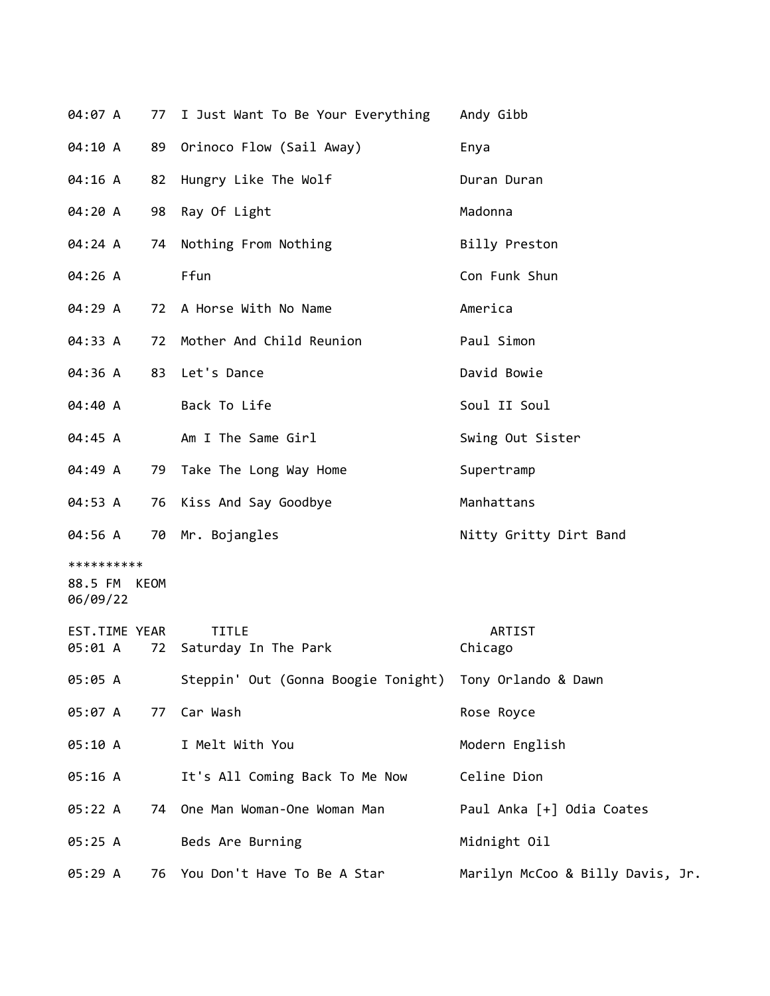| 04:07 A                                |    | 77 I Just Want To Be Your Everything                    | Andy Gibb                        |
|----------------------------------------|----|---------------------------------------------------------|----------------------------------|
| 04:10 A                                |    | 89 Orinoco Flow (Sail Away)                             | Enya                             |
| 04:16 A                                |    | 82 Hungry Like The Wolf                                 | Duran Duran                      |
| 04:20 A                                | 98 | Ray Of Light                                            | Madonna                          |
| 04:24 A                                |    | 74 Nothing From Nothing                                 | Billy Preston                    |
| 04:26 A                                |    | Ffun                                                    | Con Funk Shun                    |
| 04:29 A                                |    | 72 A Horse With No Name                                 | America                          |
| 04:33 A                                |    | 72 Mother And Child Reunion                             | Paul Simon                       |
| 04:36 A                                |    | 83 Let's Dance                                          | David Bowie                      |
| 04:40 A                                |    | Back To Life                                            | Soul II Soul                     |
| 04:45 A                                |    | Am I The Same Girl                                      | Swing Out Sister                 |
| 04:49 A                                |    | 79 Take The Long Way Home                               | Supertramp                       |
| 04:53 A                                |    | 76 Kiss And Say Goodbye                                 | Manhattans                       |
| 04:56 A                                |    | 70 Mr. Bojangles                                        | Nitty Gritty Dirt Band           |
| **********<br>88.5 FM KEOM<br>06/09/22 |    |                                                         |                                  |
| EST.TIME YEAR<br>05:01 A               | 72 | <b>TITLE</b><br>Saturday In The Park                    | <b>ARTIST</b><br>Chicago         |
| 05:05 A                                |    | Steppin' Out (Gonna Boogie Tonight) Tony Orlando & Dawn |                                  |
| 05:07 A                                | 77 | Car Wash                                                | Rose Royce                       |
| 05:10 A                                |    | I Melt With You                                         | Modern English                   |
| 05:16 A                                |    | It's All Coming Back To Me Now                          | Celine Dion                      |
| 05:22 A                                |    | 74 One Man Woman-One Woman Man                          | Paul Anka [+] Odia Coates        |
| 05:25 A                                |    | Beds Are Burning                                        | Midnight Oil                     |
| 05:29 A                                |    | 76 You Don't Have To Be A Star                          | Marilyn McCoo & Billy Davis, Jr. |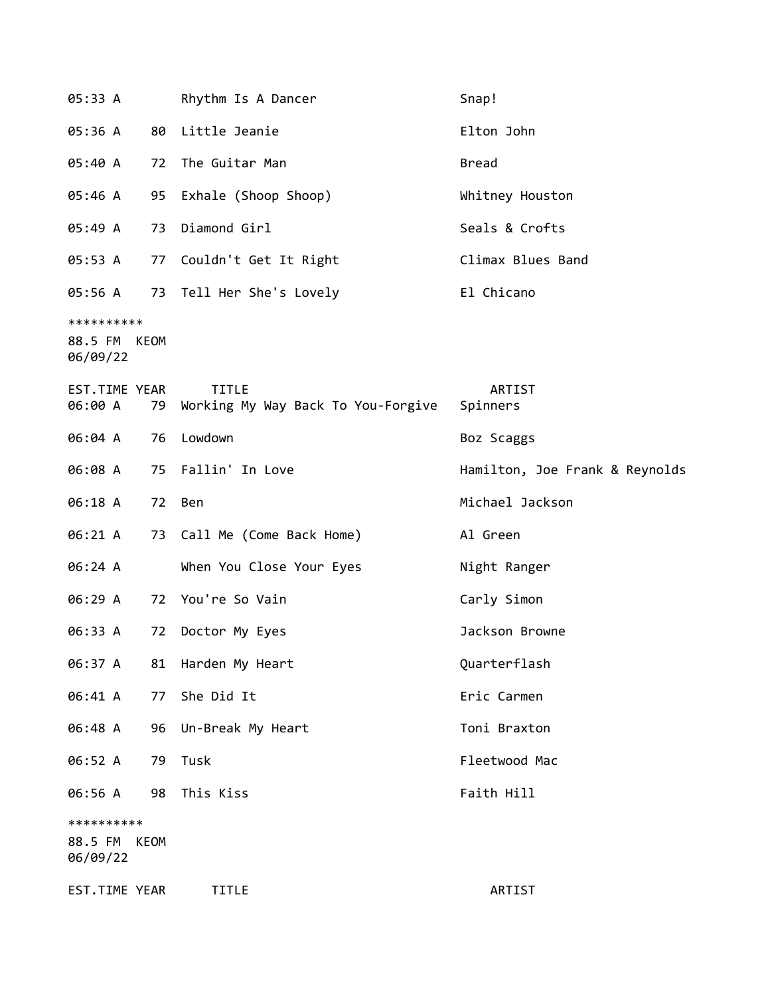| 05:33 A                                |      | Rhythm Is A Dancer                                 | Snap!                          |
|----------------------------------------|------|----------------------------------------------------|--------------------------------|
| 05:36 A                                | 80   | Little Jeanie                                      | Elton John                     |
| 05:40 A                                | 72   | The Guitar Man                                     | <b>Bread</b>                   |
| 05:46 A                                | 95   | Exhale (Shoop Shoop)                               | Whitney Houston                |
| 05:49 A                                | 73   | Diamond Girl                                       | Seals & Crofts                 |
| 05:53 A                                | 77   | Couldn't Get It Right                              | Climax Blues Band              |
| 05:56 A                                |      | 73 Tell Her She's Lovely                           | El Chicano                     |
| **********<br>88.5 FM KEOM<br>06/09/22 |      |                                                    |                                |
| EST.TIME YEAR<br>06:00 A               | 79   | <b>TITLE</b><br>Working My Way Back To You-Forgive | ARTIST<br>Spinners             |
| 06:04 A                                | 76   | Lowdown                                            | Boz Scaggs                     |
| 06:08 A                                | 75   | Fallin' In Love                                    | Hamilton, Joe Frank & Reynolds |
| 06:18 A                                | 72   | Ben                                                | Michael Jackson                |
| 06:21 A                                | 73   | Call Me (Come Back Home)                           | Al Green                       |
| 06:24 A                                |      | When You Close Your Eyes                           | Night Ranger                   |
| 06:29 A                                | 72   | You're So Vain                                     | Carly Simon                    |
| 06:33 A                                | 72   | Doctor My Eyes                                     | Jackson Browne                 |
| 06:37 A                                | 81   | Harden My Heart                                    | Quarterflash                   |
| 06:41 A                                | 77   | She Did It                                         | Eric Carmen                    |
| 06:48 A                                | 96   | Un-Break My Heart                                  | Toni Braxton                   |
| 06:52 A                                | 79   | Tusk                                               | Fleetwood Mac                  |
| 06:56 A                                | 98   | This Kiss                                          | Faith Hill                     |
| **********<br>88.5 FM<br>06/09/22      | KEOM |                                                    |                                |
| EST.TIME YEAR                          |      | TITLE                                              | ARTIST                         |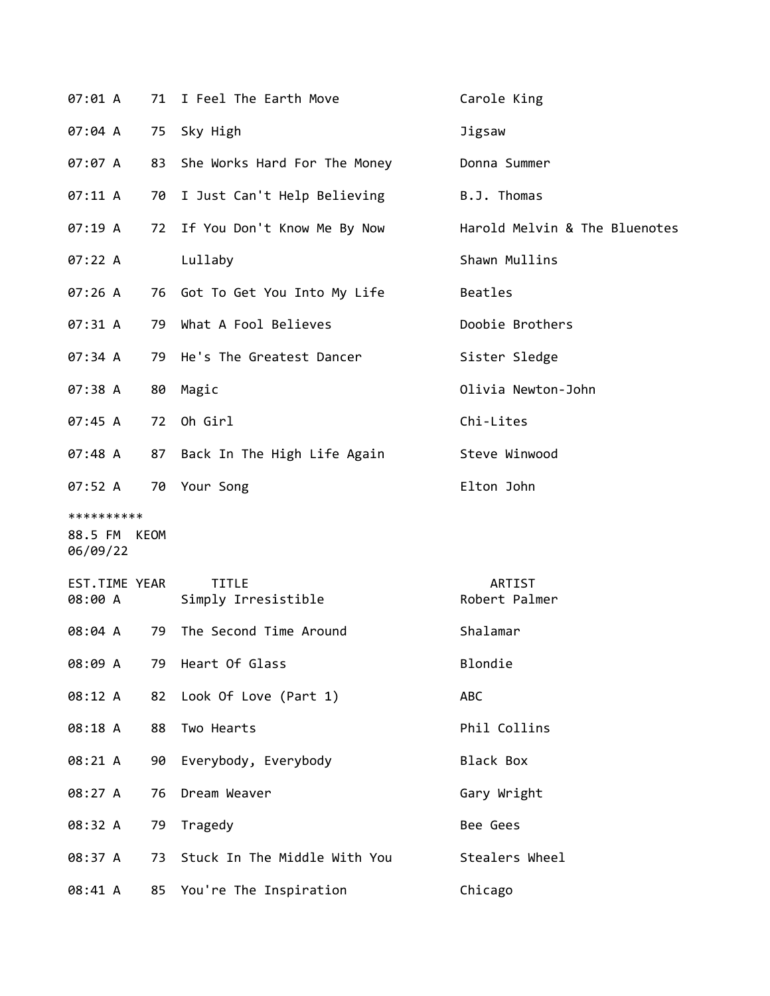| 07:01 A                                |    | 71 I Feel The Earth Move            | Carole King                   |
|----------------------------------------|----|-------------------------------------|-------------------------------|
| 07:04 A                                |    | 75 Sky High                         | Jigsaw                        |
| 07:07 A                                |    | 83 She Works Hard For The Money     | Donna Summer                  |
| 07:11 A                                |    | 70 I Just Can't Help Believing      | B.J. Thomas                   |
| 07:19A                                 |    | 72 If You Don't Know Me By Now      | Harold Melvin & The Bluenotes |
| 07:22 A                                |    | Lullaby                             | Shawn Mullins                 |
| 07:26A                                 |    | 76 Got To Get You Into My Life      | Beatles                       |
| 07:31 A                                | 79 | What A Fool Believes                | Doobie Brothers               |
| 07:34 A                                |    | 79 He's The Greatest Dancer         | Sister Sledge                 |
| 07:38 A                                |    | 80 Magic                            | Olivia Newton-John            |
| 07:45 A                                | 72 | Oh Girl                             | Chi-Lites                     |
| 07:48A                                 |    | 87 Back In The High Life Again      | Steve Winwood                 |
| 07:52 A                                |    | 70 Your Song                        | Elton John                    |
| **********<br>88.5 FM KEOM<br>06/09/22 |    |                                     |                               |
| EST.TIME YEAR<br>08:00 A               |    | <b>TITLE</b><br>Simply Irresistible | ARTIST<br>Robert Palmer       |
| 08:04 A                                | 79 | The Second Time Around              | Shalamar                      |
| 08:09 A                                |    | 79 Heart Of Glass                   | Blondie                       |
| 08:12 A                                | 82 | Look Of Love (Part 1)               | ABC                           |
| 08:18 A                                | 88 | Two Hearts                          | Phil Collins                  |
| 08:21 A                                | 90 | Everybody, Everybody                | <b>Black Box</b>              |
| 08:27 A                                | 76 | Dream Weaver                        | Gary Wright                   |
| 08:32 A                                | 79 | Tragedy                             | Bee Gees                      |
| 08:37 A                                | 73 | Stuck In The Middle With You        | Stealers Wheel                |
| 08:41 A                                |    | 85 You're The Inspiration           | Chicago                       |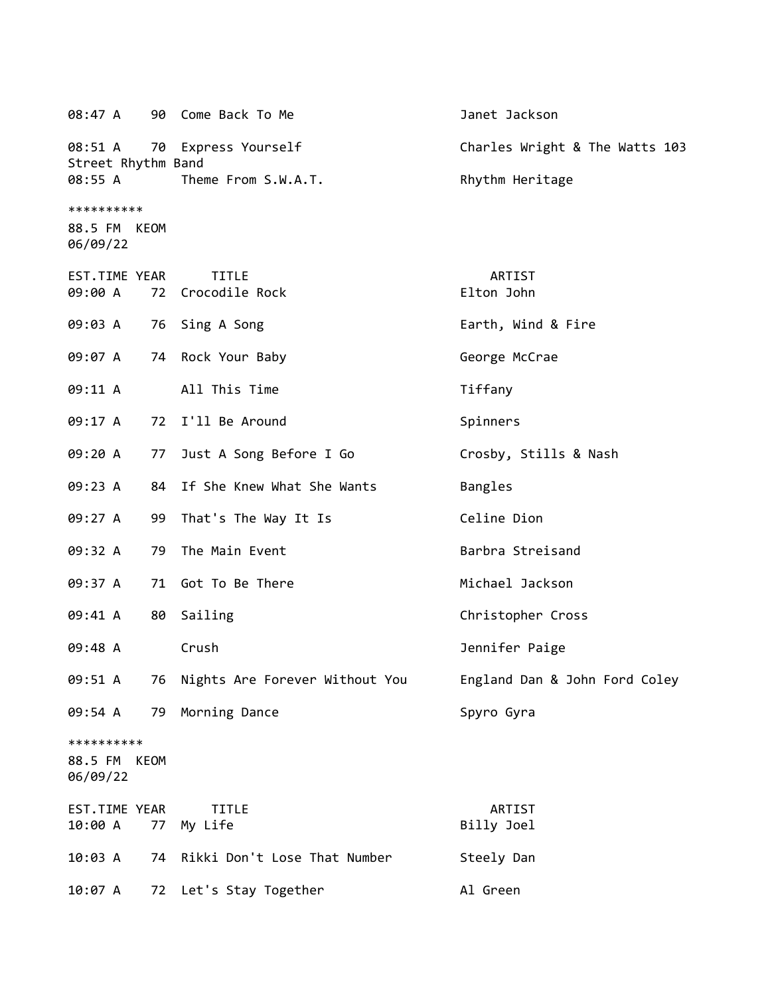08:47 A 90 Come Back To Me Janet Jackson 08:51 A 70 Express Yourself Charles Wright & The Watts 103 Street Rhythm Band 08:55 A Theme From S.W.A.T. Rhythm Heritage \*\*\*\*\*\*\*\*\*\* 88.5 FM KEOM 06/09/22 EST.TIME YEAR TITLE ARTIST 09:00 A 72 Crocodile Rock **Elton John** 09:03 A 76 Sing A Song The Control of Earth, Wind & Fire 09:07 A 74 Rock Your Baby Contract George McCrae 09:11 A All This Time Tiffany 09:17 A 72 I'll Be Around Spinners 09:20 A 77 Just A Song Before I Go Crosby, Stills & Nash 09:23 A 84 If She Knew What She Wants Bangles 09:27 A 99 That's The Way It Is Celine Dion 09:32 A 79 The Main Event Barbra Streisand 09:37 A 71 Got To Be There Michael Jackson 09:41 A 80 Sailing Christopher Cross 09:48 A Crush Jennifer Paige 09:51 A 76 Nights Are Forever Without You England Dan & John Ford Coley 09:54 A 79 Morning Dance Spyro Gyra \*\*\*\*\*\*\*\*\*\* 88.5 FM KEOM 06/09/22 EST.TIME YEAR TITLE ARTIST 10:00 A 77 My Life Billy Joel Billy Joel 10:03 A 74 Rikki Don't Lose That Number Steely Dan 10:07 A 72 Let's Stay Together Al Green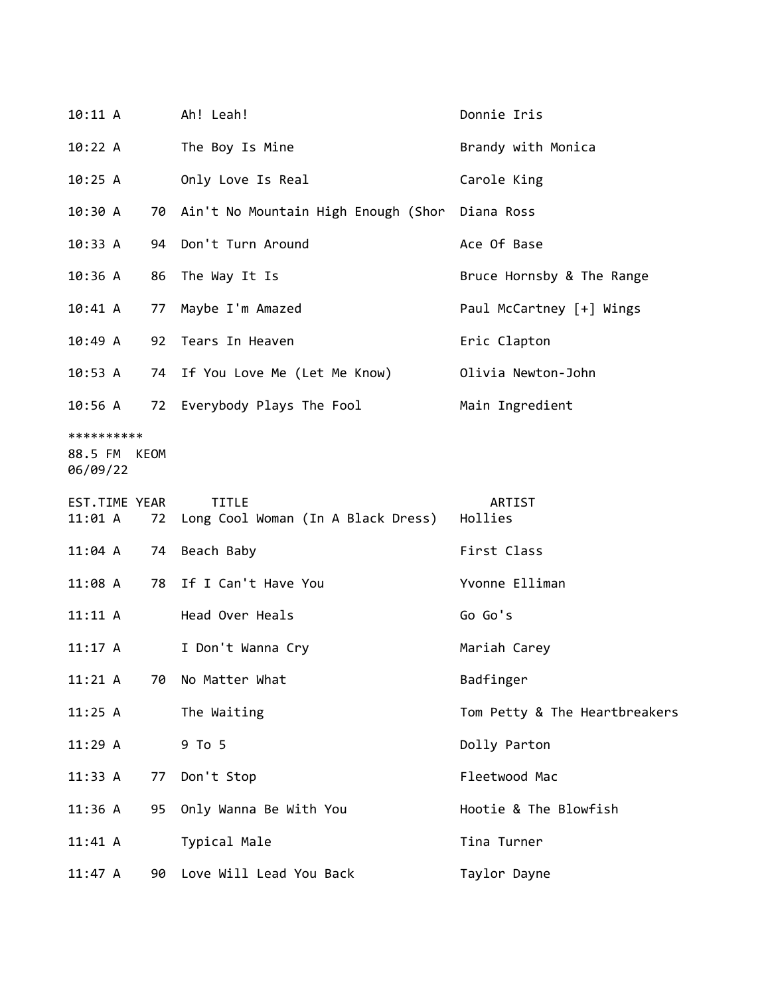| 10:11 A                           |      | Ah! Leah!                                          | Donnie Iris                   |
|-----------------------------------|------|----------------------------------------------------|-------------------------------|
| 10:22 A                           |      | The Boy Is Mine                                    | Brandy with Monica            |
| 10:25 A                           |      | Only Love Is Real                                  | Carole King                   |
| 10:30 A                           |      | 70 Ain't No Mountain High Enough (Shor Diana Ross  |                               |
| 10:33A                            |      | 94 Don't Turn Around                               | Ace Of Base                   |
| 10:36 A                           |      | 86 The Way It Is                                   | Bruce Hornsby & The Range     |
| 10:41 A                           | 77   | Maybe I'm Amazed                                   | Paul McCartney [+] Wings      |
| 10:49A                            |      | 92 Tears In Heaven                                 | Eric Clapton                  |
| 10:53 A                           |      | 74 If You Love Me (Let Me Know)                    | Olivia Newton-John            |
| 10:56 A                           |      | 72 Everybody Plays The Fool                        | Main Ingredient               |
| **********<br>88.5 FM<br>06/09/22 | KEOM |                                                    |                               |
| EST.TIME YEAR<br>11:01 A          | 72   | <b>TITLE</b><br>Long Cool Woman (In A Black Dress) | ARTIST<br>Hollies             |
| $11:04$ A                         |      | 74 Beach Baby                                      | First Class                   |
| 11:08A                            | 78   | If I Can't Have You                                | Yvonne Elliman                |
| 11:11 A                           |      | Head Over Heals                                    | Go Go's                       |
| $11:17$ A                         |      | I Don't Wanna Cry                                  | Mariah Carey                  |
| 11:21 A                           | 70   | No Matter What                                     | Badfinger                     |
| 11:25 A                           |      | The Waiting                                        | Tom Petty & The Heartbreakers |
| 11:29A                            |      | 9 To 5                                             | Dolly Parton                  |
| 11:33 A                           | 77   | Don't Stop                                         | Fleetwood Mac                 |
| 11:36 A                           | 95   | Only Wanna Be With You                             | Hootie & The Blowfish         |
| 11:41 A                           |      | Typical Male                                       | Tina Turner                   |
| 11:47 A                           | 90   | Love Will Lead You Back                            | Taylor Dayne                  |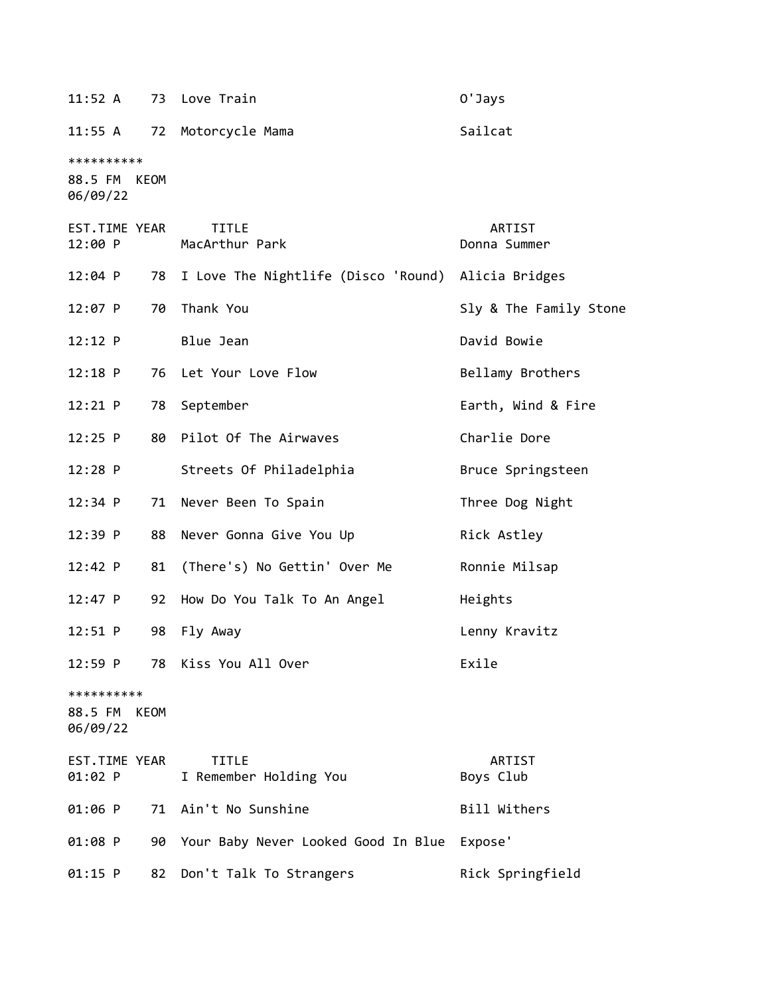| 11:52 A                                |    | 73 Love Train                          | O'Jays                 |
|----------------------------------------|----|----------------------------------------|------------------------|
| 11:55 A                                | 72 | Motorcycle Mama                        | Sailcat                |
| **********<br>88.5 FM KEOM<br>06/09/22 |    |                                        |                        |
| EST.TIME YEAR<br>12:00 P               |    | <b>TITLE</b><br>MacArthur Park         | ARTIST<br>Donna Summer |
| 12:04 P                                |    | 78 I Love The Nightlife (Disco 'Round) | Alicia Bridges         |
| 12:07 P                                | 70 | Thank You                              | Sly & The Family Stone |
| 12:12 P                                |    | Blue Jean                              | David Bowie            |
| $12:18$ P                              | 76 | Let Your Love Flow                     | Bellamy Brothers       |
| 12:21 P                                | 78 | September                              | Earth, Wind & Fire     |
| $12:25$ P                              | 80 | Pilot Of The Airwaves                  | Charlie Dore           |
| 12:28 P                                |    | Streets Of Philadelphia                | Bruce Springsteen      |
| $12:34$ P                              | 71 | Never Been To Spain                    | Three Dog Night        |
| 12:39 P                                | 88 | Never Gonna Give You Up                | Rick Astley            |
| 12:42 P                                | 81 | (There's) No Gettin' Over Me           | Ronnie Milsap          |
| 12:47 P                                | 92 | How Do You Talk To An Angel            | Heights                |
| $12:51$ P                              | 98 | Fly Away                               | Lenny Kravitz          |
| 12:59 P                                |    | 78 Kiss You All Over                   | Exile                  |
| **********<br>88.5 FM KEOM<br>06/09/22 |    |                                        |                        |
| EST.TIME YEAR<br>01:02 P               |    | <b>TITLE</b><br>I Remember Holding You | ARTIST<br>Boys Club    |
| 01:06 P                                |    | 71 Ain't No Sunshine                   | Bill Withers           |
| 01:08 P                                | 90 | Your Baby Never Looked Good In Blue    | Expose'                |
| $01:15$ P                              | 82 | Don't Talk To Strangers                | Rick Springfield       |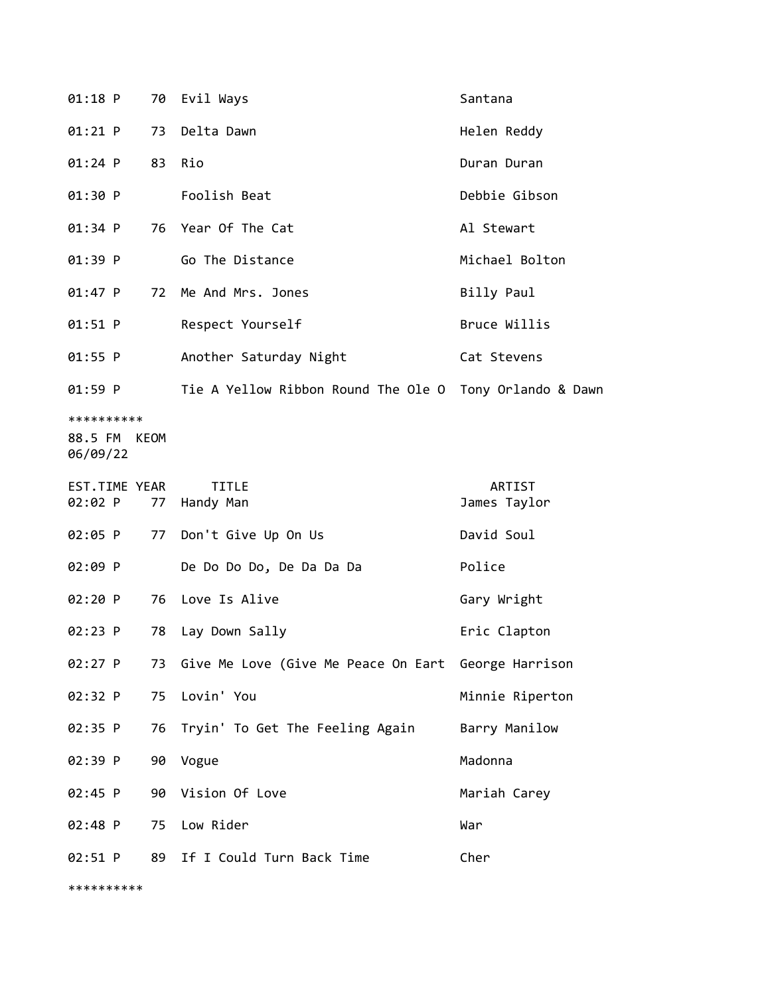| 01:18 P                                |    | 70 Evil Ways                                            | Santana                |
|----------------------------------------|----|---------------------------------------------------------|------------------------|
| 01:21 P                                | 73 | Delta Dawn                                              | Helen Reddy            |
| 01:24 P                                |    | 83 Rio                                                  | Duran Duran            |
| 01:30 P                                |    | Foolish Beat                                            | Debbie Gibson          |
| 01:34 P                                |    | 76 Year Of The Cat                                      | Al Stewart             |
| 01:39 P                                |    | Go The Distance                                         | Michael Bolton         |
| 01:47 P                                |    | 72 Me And Mrs. Jones                                    | Billy Paul             |
| $01:51$ P                              |    | Respect Yourself                                        | Bruce Willis           |
| 01:55 P                                |    | Another Saturday Night                                  | Cat Stevens            |
| 01:59 P                                |    | Tie A Yellow Ribbon Round The Ole O Tony Orlando & Dawn |                        |
| **********<br>88.5 FM KEOM<br>06/09/22 |    |                                                         |                        |
| EST.TIME YEAR<br>02:02 P               | 77 | <b>TITLE</b><br>Handy Man                               | ARTIST<br>James Taylor |
| 02:05 P                                |    | 77 Don't Give Up On Us                                  | David Soul             |
| 02:09 P                                |    | De Do Do Do, De Da Da Da                                | Police                 |
| 02:20 P                                | 76 | Love Is Alive                                           | Gary Wright            |
| $02:23$ P                              | 78 | Lay Down Sally                                          | Eric Clapton           |
| 02:27 P                                |    | 73 Give Me Love (Give Me Peace On Eart George Harrison  |                        |
| 02:32 P                                | 75 | Lovin' You                                              | Minnie Riperton        |
| 02:35 P                                | 76 | Tryin' To Get The Feeling Again                         | Barry Manilow          |
| 02:39 P                                | 90 | Vogue                                                   | Madonna                |
| 02:45 P                                | 90 | Vision Of Love                                          | Mariah Carey           |
| 02:48 P                                | 75 | Low Rider                                               | War                    |
| 02:51 P                                |    | 89 If I Could Turn Back Time                            | Cher                   |

\*\*\*\*\*\*\*\*\*\*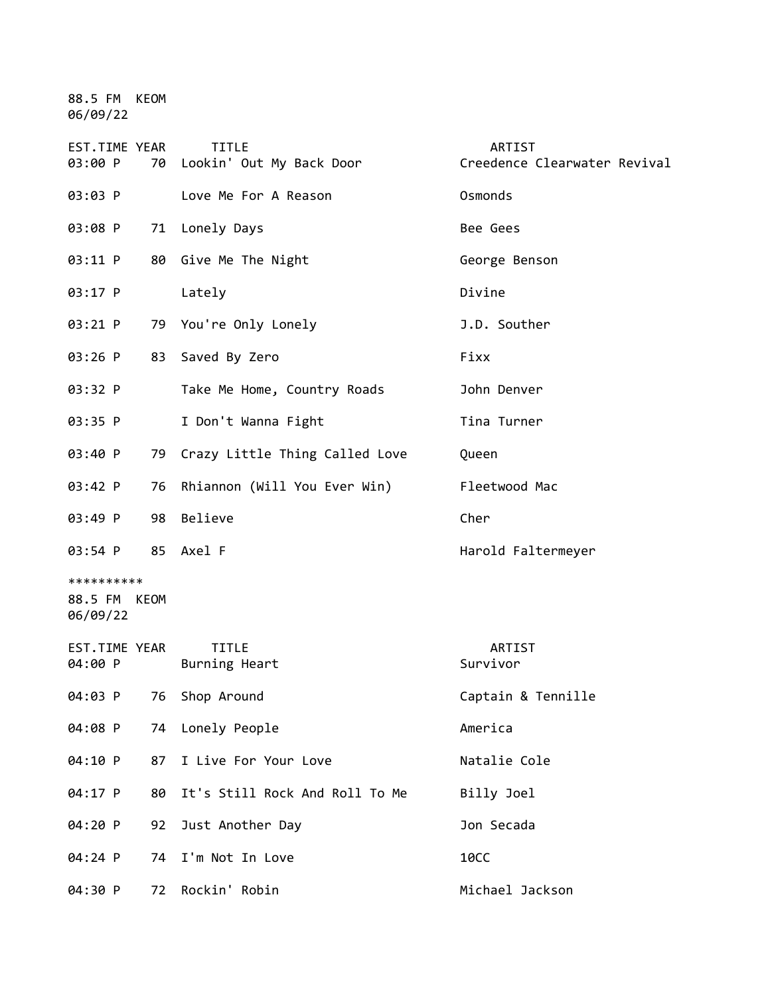88.5 FM KEOM 06/09/22

| EST.TIME YEAR<br>03:00 P               | <b>TITLE</b><br>70 Lookin' Out My Back Door | <b>ARTIST</b><br>Creedence Clearwater Revival |
|----------------------------------------|---------------------------------------------|-----------------------------------------------|
| 03:03 P                                | Love Me For A Reason                        | Osmonds                                       |
| 03:08 P                                | 71 Lonely Days                              | Bee Gees                                      |
| 03:11 P                                | 80 Give Me The Night                        | George Benson                                 |
| 03:17 P                                | Lately                                      | Divine                                        |
| 03:21 P                                | 79 You're Only Lonely                       | J.D. Souther                                  |
| 03:26 P                                | 83 Saved By Zero                            | Fixx                                          |
| 03:32 P                                | Take Me Home, Country Roads                 | John Denver                                   |
| 03:35 P                                | I Don't Wanna Fight                         | Tina Turner                                   |
| 03:40 P                                | 79 Crazy Little Thing Called Love           | Queen                                         |
| 03:42 P<br>76                          | Rhiannon (Will You Ever Win)                | Fleetwood Mac                                 |
| 03:49 P<br>98                          | Believe                                     | Cher                                          |
| 03:54 P                                | 85 Axel F                                   | Harold Faltermeyer                            |
| **********<br>88.5 FM KEOM<br>06/09/22 |                                             |                                               |
| EST.TIME YEAR<br>04:00 P               | <b>TITLE</b><br>Burning Heart               | ARTIST<br>Survivor                            |
| 76<br>04:03 P                          | Shop Around                                 | Captain & Tennille                            |
| 04:08 P                                | 74 Lonely People                            | America                                       |
| 04:10 P                                | I Live For Your Love<br>87                  | Natalie Cole                                  |
| 04:17 P<br>80                          | It's Still Rock And Roll To Me              | Billy Joel                                    |
| 04:20 P<br>92                          | Just Another Day                            | Jon Secada                                    |
| 04:24 P<br>74                          | I'm Not In Love                             | <b>10CC</b>                                   |
| 04:30 P<br>72                          | Rockin' Robin                               | Michael Jackson                               |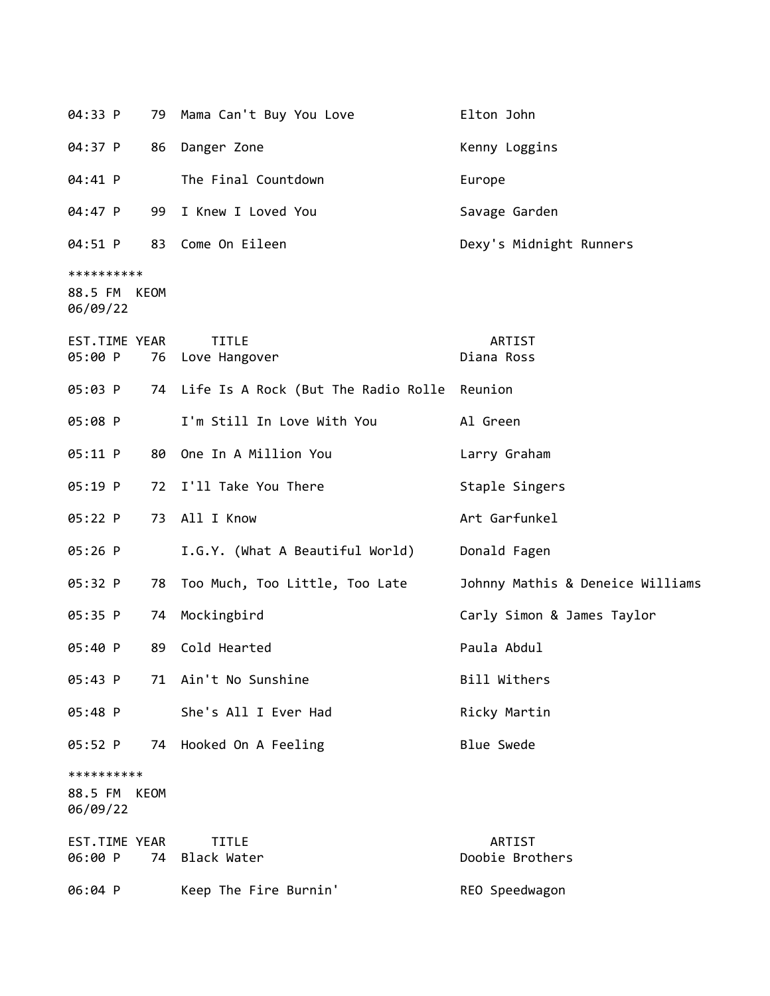| 04:33 P                                | 79 | Mama Can't Buy You Love                        | Elton John                       |
|----------------------------------------|----|------------------------------------------------|----------------------------------|
| 04:37 P                                | 86 | Danger Zone                                    | Kenny Loggins                    |
| 04:41 P                                |    | The Final Countdown                            | Europe                           |
| 04:47 P                                | 99 | I Knew I Loved You                             | Savage Garden                    |
| 04:51 P                                | 83 | Come On Eileen                                 | Dexy's Midnight Runners          |
| **********<br>88.5 FM KEOM<br>06/09/22 |    |                                                |                                  |
| EST.TIME YEAR<br>05:00 P               | 76 | <b>TITLE</b><br>Love Hangover                  | ARTIST<br>Diana Ross             |
| 05:03 P                                |    | 74 Life Is A Rock (But The Radio Rolle Reunion |                                  |
| 05:08 P                                |    | I'm Still In Love With You                     | Al Green                         |
| 05:11 P                                | 80 | One In A Million You                           | Larry Graham                     |
| 05:19 P                                |    | 72 I'll Take You There                         | Staple Singers                   |
| 05:22 P                                | 73 | All I Know                                     | Art Garfunkel                    |
| 05:26 P                                |    | I.G.Y. (What A Beautiful World)                | Donald Fagen                     |
| 05:32 P                                | 78 | Too Much, Too Little, Too Late                 | Johnny Mathis & Deneice Williams |
| 05:35 P                                | 74 | Mockingbird                                    | Carly Simon & James Taylor       |
| 05:40 P                                | 89 | Cold Hearted                                   | Paula Abdul                      |
| 05:43 P                                |    | 71 Ain't No Sunshine                           | Bill Withers                     |
| 05:48 P                                |    | She's All I Ever Had                           | Ricky Martin                     |
| 05:52 P                                | 74 | Hooked On A Feeling                            | <b>Blue Swede</b>                |
| **********<br>88.5 FM KEOM<br>06/09/22 |    |                                                |                                  |
| EST.TIME YEAR<br>06:00 P               |    | <b>TITLE</b><br>74 Black Water                 | ARTIST<br>Doobie Brothers        |
| 06:04 P                                |    | Keep The Fire Burnin'                          | REO Speedwagon                   |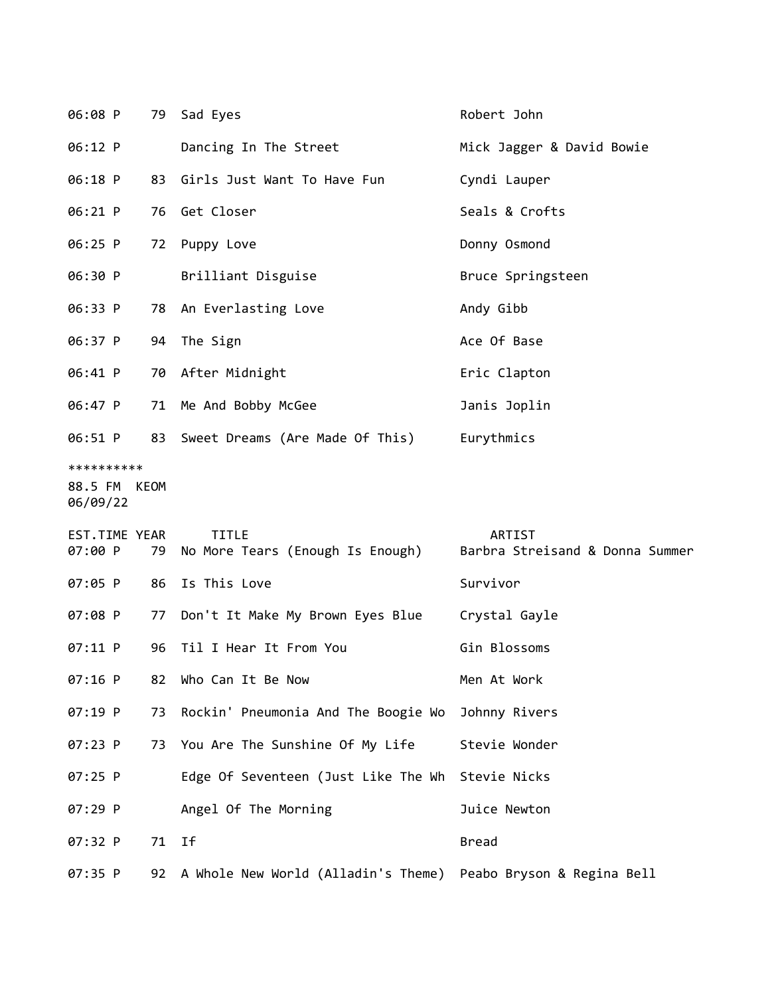| 06:08 P                                |    | 79 Sad Eyes                                                       | Robert John                                      |
|----------------------------------------|----|-------------------------------------------------------------------|--------------------------------------------------|
| 06:12 P                                |    | Dancing In The Street                                             | Mick Jagger & David Bowie                        |
| 06:18 P                                |    | 83 Girls Just Want To Have Fun                                    | Cyndi Lauper                                     |
| 06:21 P                                |    | 76 Get Closer                                                     | Seals & Crofts                                   |
| 06:25 P                                |    | 72 Puppy Love                                                     | Donny Osmond                                     |
| 06:30 P                                |    | Brilliant Disguise                                                | Bruce Springsteen                                |
| 06:33 P                                |    | 78 An Everlasting Love                                            | Andy Gibb                                        |
| 06:37 P                                |    | 94 The Sign                                                       | Ace Of Base                                      |
| 06:41 P                                |    | 70 After Midnight                                                 | Eric Clapton                                     |
| 06:47 P                                |    | 71 Me And Bobby McGee                                             | Janis Joplin                                     |
| 06:51 P                                |    | 83 Sweet Dreams (Are Made Of This) Eurythmics                     |                                                  |
| **********<br>88.5 FM KEOM<br>06/09/22 |    |                                                                   |                                                  |
| EST.TIME YEAR<br>07:00 P               | 79 | <b>TITLE</b><br>No More Tears (Enough Is Enough)                  | <b>ARTIST</b><br>Barbra Streisand & Donna Summer |
| 07:05 P                                | 86 | Is This Love                                                      | Survivor                                         |
| 07:08 P                                | 77 | Don't It Make My Brown Eyes Blue                                  | Crystal Gayle                                    |
| 07:11 P                                | 96 | Til I Hear It From You                                            | Gin Blossoms                                     |
| 07:16 P                                | 82 | Who Can It Be Now                                                 | Men At Work                                      |
| 07:19 P                                | 73 | Rockin' Pneumonia And The Boogie Wo                               | Johnny Rivers                                    |
| 07:23 P                                |    | 73 You Are The Sunshine Of My Life                                | Stevie Wonder                                    |
| 07:25 P                                |    | Edge Of Seventeen (Just Like The Wh                               | Stevie Nicks                                     |
| 07:29 P                                |    | Angel Of The Morning                                              | Juice Newton                                     |
| 07:32 P                                | 71 | Ιf                                                                | <b>Bread</b>                                     |
| 07:35 P                                |    | 92 A Whole New World (Alladin's Theme) Peabo Bryson & Regina Bell |                                                  |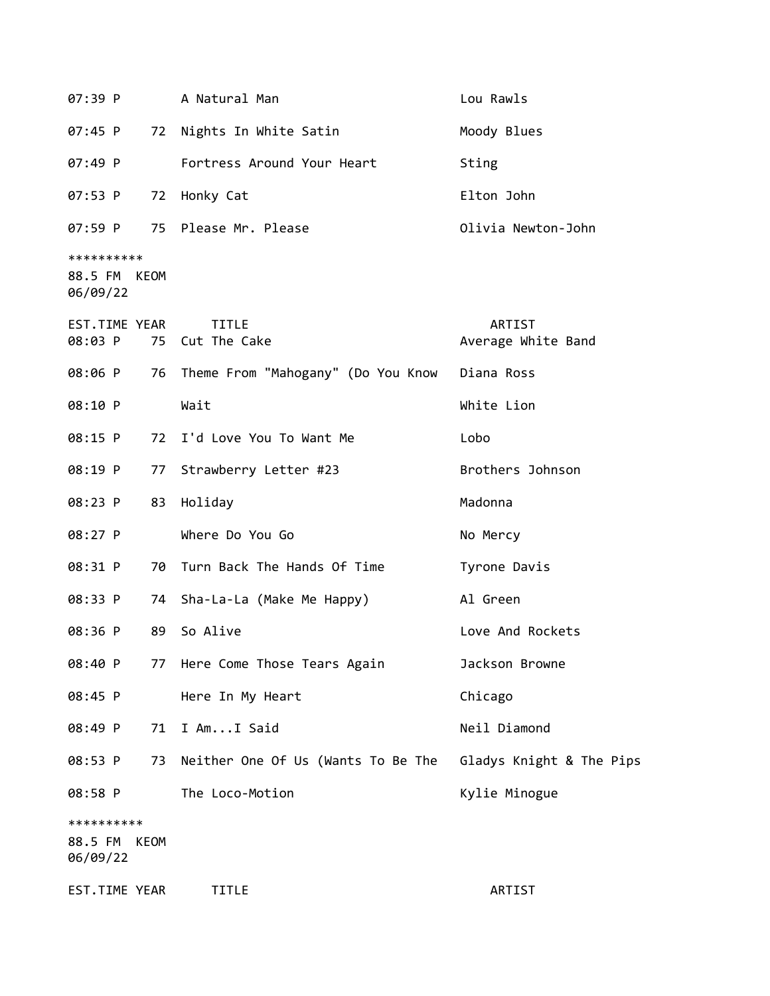| 07:39 P                           |             | A Natural Man                         | Lou Rawls                    |
|-----------------------------------|-------------|---------------------------------------|------------------------------|
| 07:45 P                           |             | 72 Nights In White Satin              | Moody Blues                  |
| 07:49 P                           |             | Fortress Around Your Heart            | Sting                        |
| 07:53 P                           | 72          | Honky Cat                             | Elton John                   |
| 07:59 P                           |             | 75 Please Mr. Please                  | Olivia Newton-John           |
| **********                        |             |                                       |                              |
| 88.5 FM KEOM<br>06/09/22          |             |                                       |                              |
| EST.TIME YEAR<br>08:03 P          |             | <b>TITLE</b><br>75 Cut The Cake       | ARTIST<br>Average White Band |
| 08:06 P                           |             | 76 Theme From "Mahogany" (Do You Know | Diana Ross                   |
| 08:10 P                           |             | Wait                                  | White Lion                   |
| 08:15 P                           |             | 72 I'd Love You To Want Me            | Lobo                         |
| 08:19 P                           | 77          | Strawberry Letter #23                 | Brothers Johnson             |
| 08:23 P                           | 83          | Holiday                               | Madonna                      |
| 08:27 P                           |             | Where Do You Go                       | No Mercy                     |
| 08:31 P                           |             | 70 Turn Back The Hands Of Time        | Tyrone Davis                 |
| 08:33 P                           |             | 74 Sha-La-La (Make Me Happy)          | Al Green                     |
| 08:36 P                           | 89          | So Alive                              | Love And Rockets             |
| 08:40 P                           |             | 77 Here Come Those Tears Again        | Jackson Browne               |
| 08:45 P                           |             | Here In My Heart                      | Chicago                      |
| 08:49 P                           | 71          | I AmI Said                            | Neil Diamond                 |
| 08:53 P                           | 73          | Neither One Of Us (Wants To Be The    | Gladys Knight & The Pips     |
| 08:58 P                           |             | The Loco-Motion                       | Kylie Minogue                |
| **********<br>88.5 FM<br>06/09/22 | <b>KEOM</b> |                                       |                              |
| EST.TIME YEAR                     |             | <b>TITLE</b>                          | ARTIST                       |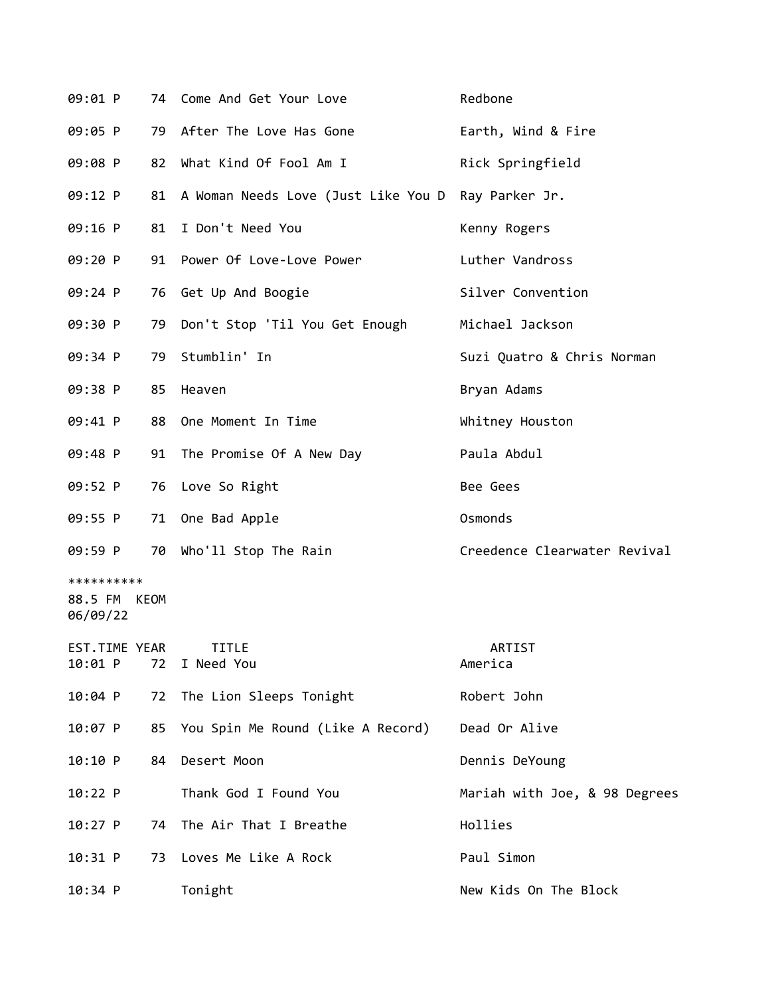| 09:01 P                                |    | 74 Come And Get Your Love            | Redbone                       |
|----------------------------------------|----|--------------------------------------|-------------------------------|
| 09:05 P                                |    | 79 After The Love Has Gone           | Earth, Wind & Fire            |
| 09:08 P                                | 82 | What Kind Of Fool Am I               | Rick Springfield              |
| 09:12 P                                | 81 | A Woman Needs Love (Just Like You D  | Ray Parker Jr.                |
| 09:16 P                                | 81 | I Don't Need You                     | Kenny Rogers                  |
| 09:20 P                                |    | 91 Power Of Love-Love Power          | Luther Vandross               |
| 09:24 P                                |    | 76 Get Up And Boogie                 | Silver Convention             |
| 09:30 P                                | 79 | Don't Stop 'Til You Get Enough       | Michael Jackson               |
| 09:34 P                                | 79 | Stumblin' In                         | Suzi Quatro & Chris Norman    |
| 09:38 P                                | 85 | Heaven                               | Bryan Adams                   |
| 09:41 P                                | 88 | One Moment In Time                   | Whitney Houston               |
| 09:48 P                                | 91 | The Promise Of A New Day             | Paula Abdul                   |
| 09:52 P                                | 76 | Love So Right                        | Bee Gees                      |
| 09:55 P                                |    | 71 One Bad Apple                     | Osmonds                       |
| 09:59 P                                |    | 70 Who'll Stop The Rain              | Creedence Clearwater Revival  |
| **********<br>88.5 FM KEOM<br>06/09/22 |    |                                      |                               |
| EST.TIME YEAR<br>10:01 P               | 72 | <b>TITLE</b><br>I Need You           | ARTIST<br>America             |
| 10:04 P                                | 72 | The Lion Sleeps Tonight              | Robert John                   |
| 10:07 P                                |    | 85 You Spin Me Round (Like A Record) | Dead Or Alive                 |
| 10:10 P                                | 84 | Desert Moon                          | Dennis DeYoung                |
| 10:22 P                                |    | Thank God I Found You                | Mariah with Joe, & 98 Degrees |
| 10:27 P                                | 74 | The Air That I Breathe               | Hollies                       |
| $10:31$ P                              | 73 | Loves Me Like A Rock                 | Paul Simon                    |
| 10:34 P                                |    | Tonight                              | New Kids On The Block         |